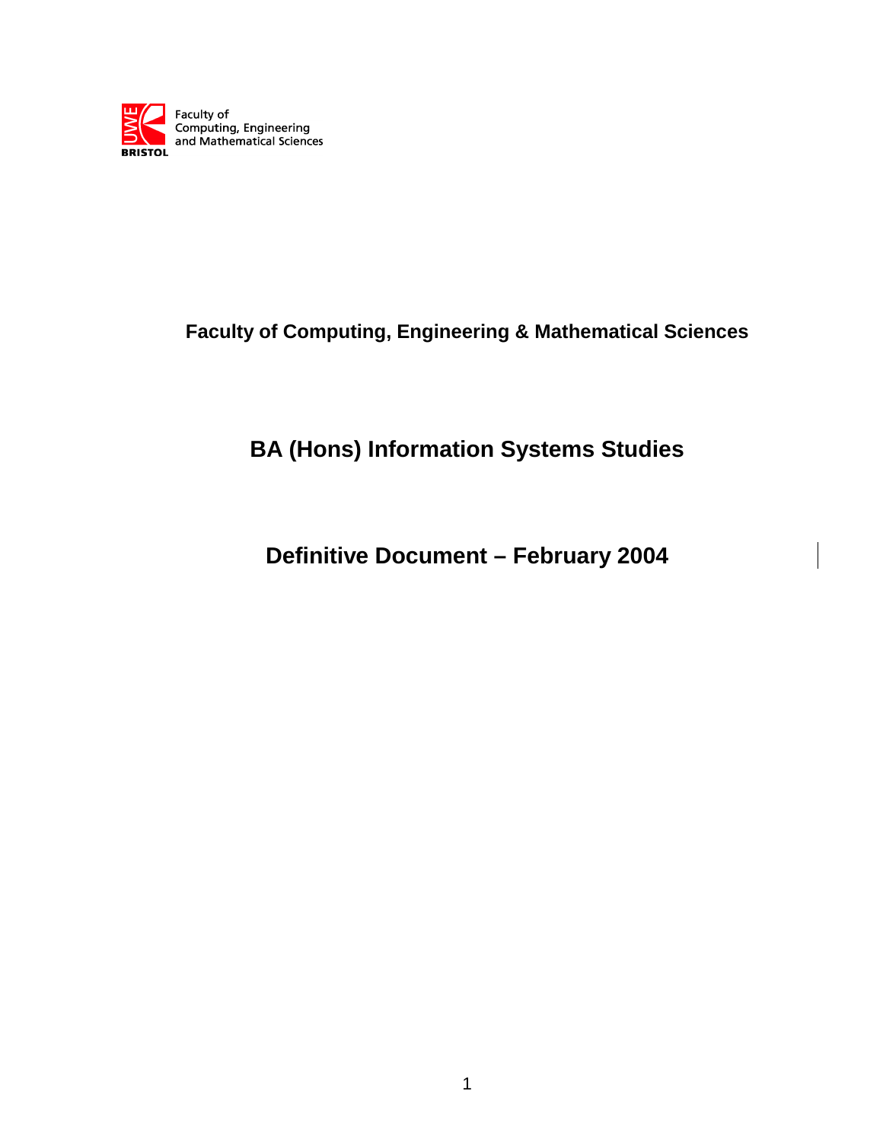

## **Faculty of Computing, Engineering & Mathematical Sciences**

# **BA (Hons) Information Systems Studies**

**Definitive Document – February 2004**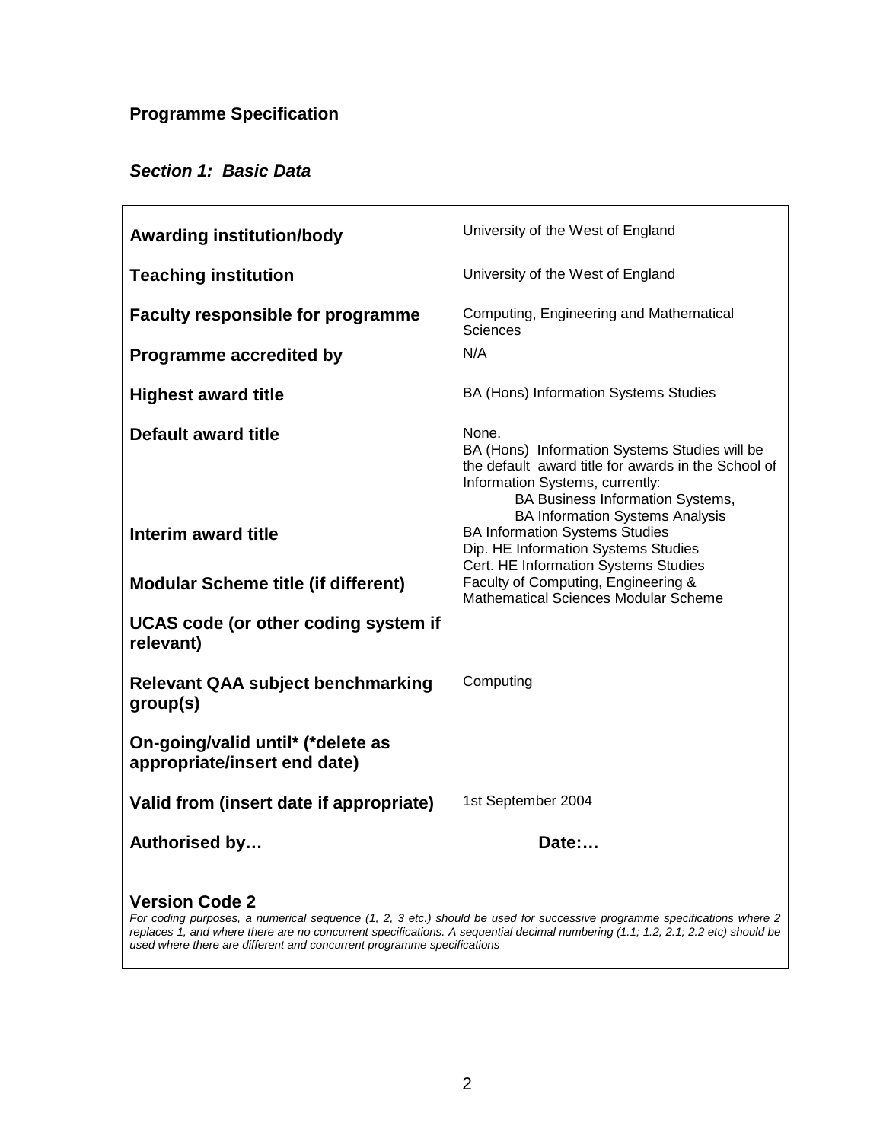## **Programme Specification**

## **Section 1: Basic Data**

| <b>Awarding institution/body</b>                                  | University of the West of England                                                                                                                                                                                              |
|-------------------------------------------------------------------|--------------------------------------------------------------------------------------------------------------------------------------------------------------------------------------------------------------------------------|
| <b>Teaching institution</b>                                       | University of the West of England                                                                                                                                                                                              |
| <b>Faculty responsible for programme</b>                          | Computing, Engineering and Mathematical<br>Sciences                                                                                                                                                                            |
| Programme accredited by                                           | N/A                                                                                                                                                                                                                            |
| <b>Highest award title</b>                                        | BA (Hons) Information Systems Studies                                                                                                                                                                                          |
| Default award title                                               | None.<br>BA (Hons) Information Systems Studies will be<br>the default award title for awards in the School of<br>Information Systems, currently:<br>BA Business Information Systems,<br><b>BA Information Systems Analysis</b> |
| Interim award title                                               | <b>BA Information Systems Studies</b><br>Dip. HE Information Systems Studies<br>Cert. HE Information Systems Studies                                                                                                           |
| <b>Modular Scheme title (if different)</b>                        | Faculty of Computing, Engineering &<br><b>Mathematical Sciences Modular Scheme</b>                                                                                                                                             |
| UCAS code (or other coding system if<br>relevant)                 |                                                                                                                                                                                                                                |
| <b>Relevant QAA subject benchmarking</b><br>group(s)              | Computing                                                                                                                                                                                                                      |
| On-going/valid until* (*delete as<br>appropriate/insert end date) |                                                                                                                                                                                                                                |
| Valid from (insert date if appropriate)                           | 1st September 2004                                                                                                                                                                                                             |
| Authorised by                                                     | Date:                                                                                                                                                                                                                          |
|                                                                   |                                                                                                                                                                                                                                |

#### **Version Code 2**

For coding purposes, a numerical sequence (1, 2, 3 etc.) should be used for successive programme specifications where 2 replaces 1, and where there are no concurrent specifications. A sequential decimal numbering (1.1; 1.2, 2.1; 2.2 etc) should be used where there are different and concurrent programme specifications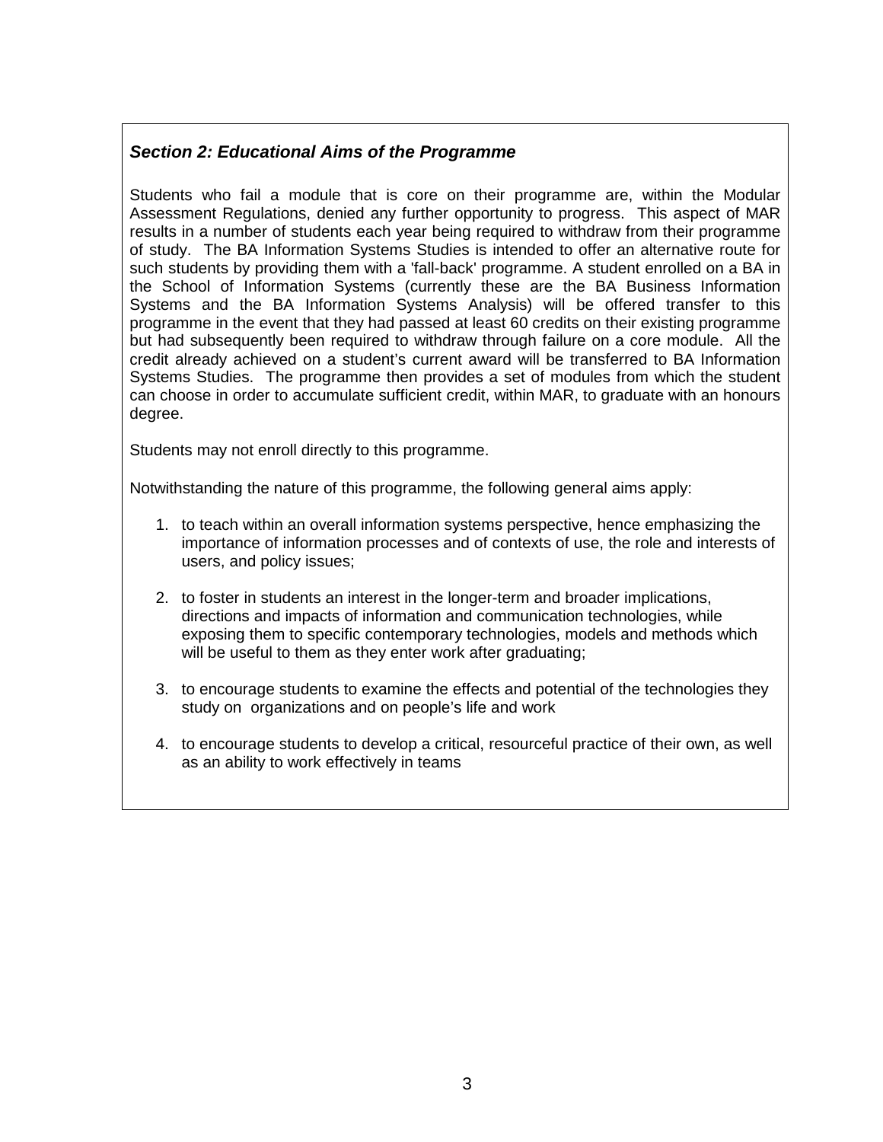## **Section 2: Educational Aims of the Programme**

Students who fail a module that is core on their programme are, within the Modular Assessment Regulations, denied any further opportunity to progress. This aspect of MAR results in a number of students each year being required to withdraw from their programme of study. The BA Information Systems Studies is intended to offer an alternative route for such students by providing them with a 'fall-back' programme. A student enrolled on a BA in the School of Information Systems (currently these are the BA Business Information Systems and the BA Information Systems Analysis) will be offered transfer to this programme in the event that they had passed at least 60 credits on their existing programme but had subsequently been required to withdraw through failure on a core module. All the credit already achieved on a student's current award will be transferred to BA Information Systems Studies. The programme then provides a set of modules from which the student can choose in order to accumulate sufficient credit, within MAR, to graduate with an honours degree.

Students may not enroll directly to this programme.

Notwithstanding the nature of this programme, the following general aims apply:

- 1. to teach within an overall information systems perspective, hence emphasizing the importance of information processes and of contexts of use, the role and interests of users, and policy issues;
- 2. to foster in students an interest in the longer-term and broader implications, directions and impacts of information and communication technologies, while exposing them to specific contemporary technologies, models and methods which will be useful to them as they enter work after graduating;
- 3. to encourage students to examine the effects and potential of the technologies they study on organizations and on people's life and work
- 4. to encourage students to develop a critical, resourceful practice of their own, as well as an ability to work effectively in teams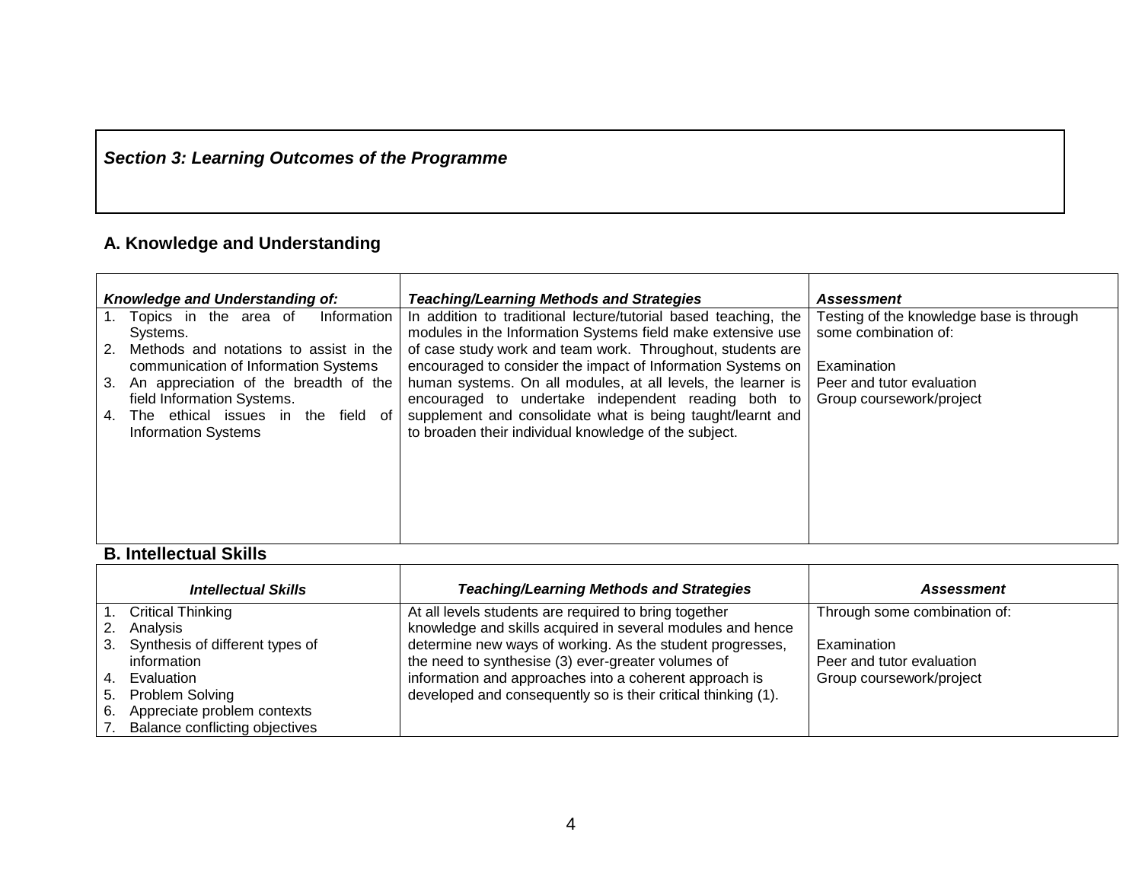## **Section 3: Learning Outcomes of the Programme**

#### **A. Knowledge and Understanding**

|             | Knowledge and Understanding of:                                  | <b>Teaching/Learning Methods and Strategies</b>                                                                           | <b>Assessment</b>                        |
|-------------|------------------------------------------------------------------|---------------------------------------------------------------------------------------------------------------------------|------------------------------------------|
|             | Information<br>1. Topics in the area of                          | In addition to traditional lecture/tutorial based teaching, the                                                           | Testing of the knowledge base is through |
| $2^{\circ}$ | Systems.<br>Methods and notations to assist in the               | modules in the Information Systems field make extensive use<br>of case study work and team work. Throughout, students are | some combination of:                     |
|             | communication of Information Systems                             | encouraged to consider the impact of Information Systems on                                                               | Examination                              |
| $3_{-}$     | An appreciation of the breadth of the                            | human systems. On all modules, at all levels, the learner is                                                              | Peer and tutor evaluation                |
|             | field Information Systems.                                       | encouraged to undertake independent reading both to                                                                       | Group coursework/project                 |
| 4.          | The ethical issues in the field of<br><b>Information Systems</b> | supplement and consolidate what is being taught/learnt and<br>to broaden their individual knowledge of the subject.       |                                          |
|             |                                                                  |                                                                                                                           |                                          |
|             |                                                                  |                                                                                                                           |                                          |
|             |                                                                  |                                                                                                                           |                                          |
|             |                                                                  |                                                                                                                           |                                          |
|             |                                                                  |                                                                                                                           |                                          |

#### **B. Intellectual Skills**

|    | <b>Intellectual Skills</b>      | <b>Teaching/Learning Methods and Strategies</b>               | Assessment                   |
|----|---------------------------------|---------------------------------------------------------------|------------------------------|
|    | <b>Critical Thinking</b>        | At all levels students are required to bring together         | Through some combination of: |
|    | Analysis                        | knowledge and skills acquired in several modules and hence    |                              |
| 3. | Synthesis of different types of | determine new ways of working. As the student progresses,     | Examination                  |
|    | information                     | the need to synthesise (3) ever-greater volumes of            | Peer and tutor evaluation    |
| 4. | Evaluation                      | information and approaches into a coherent approach is        | Group coursework/project     |
| 5. | Problem Solving                 | developed and consequently so is their critical thinking (1). |                              |
| 6. | Appreciate problem contexts     |                                                               |                              |
|    | Balance conflicting objectives  |                                                               |                              |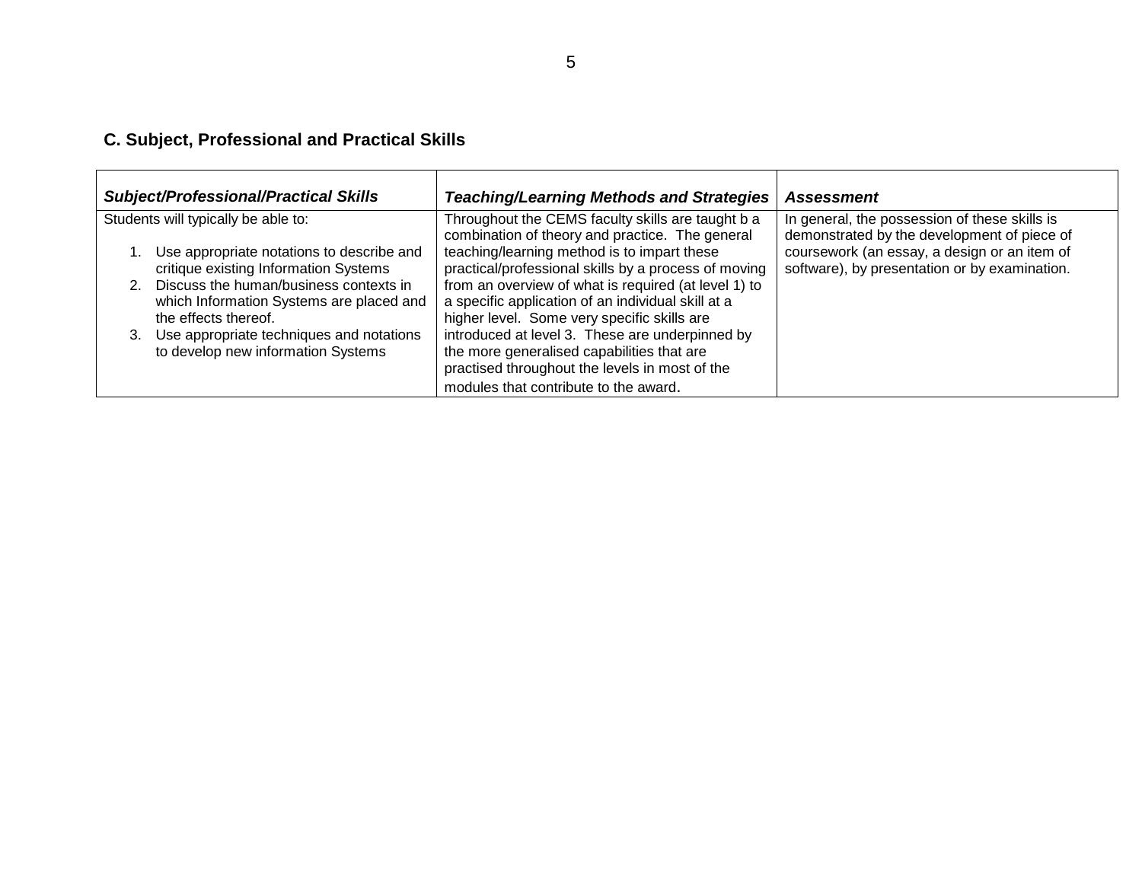#### **C. Subject, Professional and Practical Skills**

| <b>Subject/Professional/Practical Skills</b>                                                                                                                                                                                                                                             | <b>Teaching/Learning Methods and Strategies</b>                                                                                                                                                                                                                                                                                                                                                                                                              | <b>Assessment</b>                                                                             |
|------------------------------------------------------------------------------------------------------------------------------------------------------------------------------------------------------------------------------------------------------------------------------------------|--------------------------------------------------------------------------------------------------------------------------------------------------------------------------------------------------------------------------------------------------------------------------------------------------------------------------------------------------------------------------------------------------------------------------------------------------------------|-----------------------------------------------------------------------------------------------|
| Students will typically be able to:                                                                                                                                                                                                                                                      | Throughout the CEMS faculty skills are taught b a<br>combination of theory and practice. The general                                                                                                                                                                                                                                                                                                                                                         | In general, the possession of these skills is<br>demonstrated by the development of piece of  |
| Use appropriate notations to describe and<br>critique existing Information Systems<br>2. Discuss the human/business contexts in<br>which Information Systems are placed and<br>the effects thereof.<br>3. Use appropriate techniques and notations<br>to develop new information Systems | teaching/learning method is to impart these<br>practical/professional skills by a process of moving<br>from an overview of what is required (at level 1) to<br>a specific application of an individual skill at a<br>higher level. Some very specific skills are<br>introduced at level 3. These are underpinned by<br>the more generalised capabilities that are<br>practised throughout the levels in most of the<br>modules that contribute to the award. | coursework (an essay, a design or an item of<br>software), by presentation or by examination. |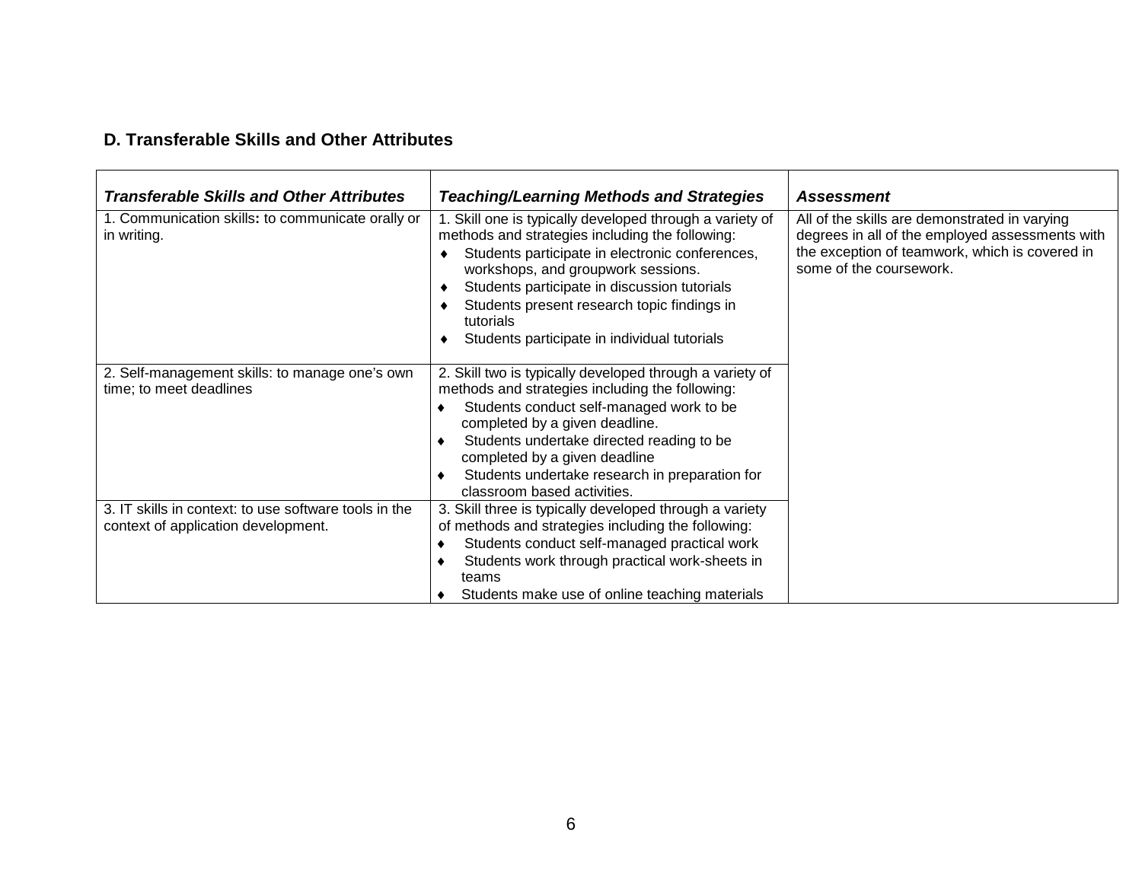#### **D. Transferable Skills and Other Attributes**

| <b>Transferable Skills and Other Attributes</b>                                              | <b>Teaching/Learning Methods and Strategies</b>                                                                                                                                                                                                                                                                                                                              | <b>Assessment</b>                                                                                                                                                             |
|----------------------------------------------------------------------------------------------|------------------------------------------------------------------------------------------------------------------------------------------------------------------------------------------------------------------------------------------------------------------------------------------------------------------------------------------------------------------------------|-------------------------------------------------------------------------------------------------------------------------------------------------------------------------------|
| 1. Communication skills: to communicate orally or<br>in writing.                             | Skill one is typically developed through a variety of<br>methods and strategies including the following:<br>Students participate in electronic conferences,<br>♦<br>workshops, and groupwork sessions.<br>Students participate in discussion tutorials<br>٠<br>Students present research topic findings in<br>٠<br>tutorials<br>Students participate in individual tutorials | All of the skills are demonstrated in varying<br>degrees in all of the employed assessments with<br>the exception of teamwork, which is covered in<br>some of the coursework. |
| 2. Self-management skills: to manage one's own<br>time; to meet deadlines                    | 2. Skill two is typically developed through a variety of<br>methods and strategies including the following:<br>Students conduct self-managed work to be<br>completed by a given deadline.<br>Students undertake directed reading to be<br>٠<br>completed by a given deadline<br>Students undertake research in preparation for<br>٠<br>classroom based activities.           |                                                                                                                                                                               |
| 3. IT skills in context: to use software tools in the<br>context of application development. | 3. Skill three is typically developed through a variety<br>of methods and strategies including the following:<br>Students conduct self-managed practical work<br>٠<br>Students work through practical work-sheets in<br>٠<br>teams<br>Students make use of online teaching materials                                                                                         |                                                                                                                                                                               |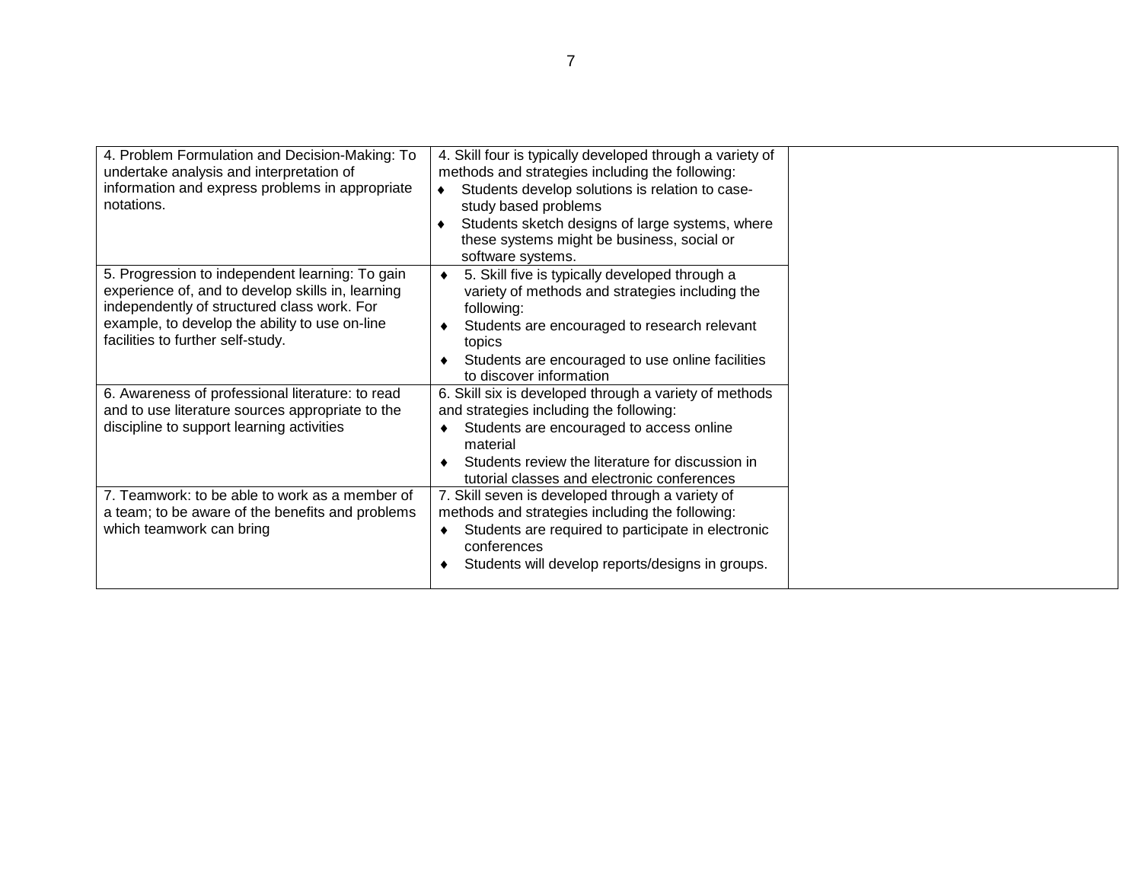| 4. Problem Formulation and Decision-Making: To<br>undertake analysis and interpretation of<br>information and express problems in appropriate<br>notations.                                                                                | 4. Skill four is typically developed through a variety of<br>methods and strategies including the following:<br>Students develop solutions is relation to case-<br>study based problems<br>Students sketch designs of large systems, where<br>these systems might be business, social or<br>software systems. |  |
|--------------------------------------------------------------------------------------------------------------------------------------------------------------------------------------------------------------------------------------------|---------------------------------------------------------------------------------------------------------------------------------------------------------------------------------------------------------------------------------------------------------------------------------------------------------------|--|
| 5. Progression to independent learning: To gain<br>experience of, and to develop skills in, learning<br>independently of structured class work. For<br>example, to develop the ability to use on-line<br>facilities to further self-study. | 5. Skill five is typically developed through a<br>٠<br>variety of methods and strategies including the<br>following:<br>Students are encouraged to research relevant<br>topics<br>Students are encouraged to use online facilities<br>to discover information                                                 |  |
| 6. Awareness of professional literature: to read<br>and to use literature sources appropriate to the<br>discipline to support learning activities                                                                                          | 6. Skill six is developed through a variety of methods<br>and strategies including the following:<br>Students are encouraged to access online<br>٠<br>material<br>Students review the literature for discussion in<br>٠<br>tutorial classes and electronic conferences                                        |  |
| 7. Teamwork: to be able to work as a member of<br>a team; to be aware of the benefits and problems<br>which teamwork can bring                                                                                                             | 7. Skill seven is developed through a variety of<br>methods and strategies including the following:<br>Students are required to participate in electronic<br>٠<br>conferences<br>Students will develop reports/designs in groups.                                                                             |  |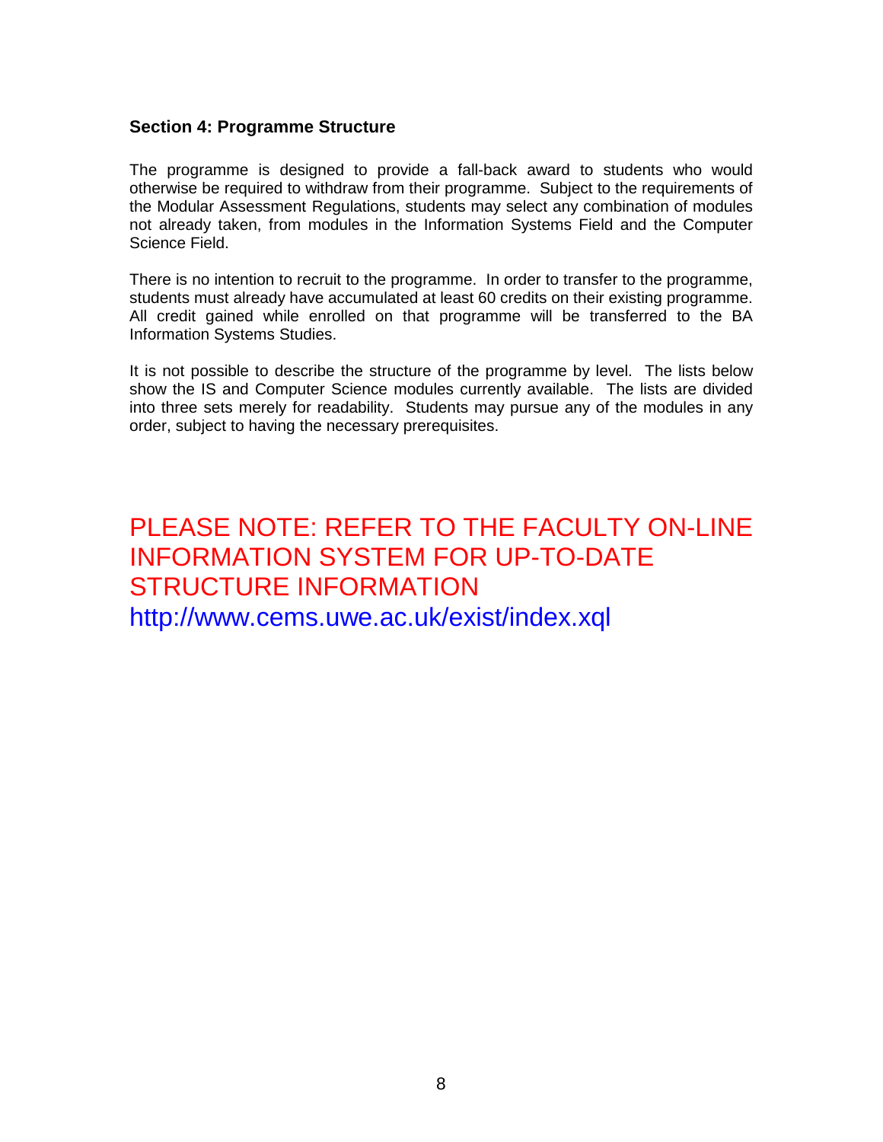#### **Section 4: Programme Structure**

The programme is designed to provide a fall-back award to students who would otherwise be required to withdraw from their programme. Subject to the requirements of the Modular Assessment Regulations, students may select any combination of modules not already taken, from modules in the Information Systems Field and the Computer Science Field.

There is no intention to recruit to the programme. In order to transfer to the programme, students must already have accumulated at least 60 credits on their existing programme. All credit gained while enrolled on that programme will be transferred to the BA Information Systems Studies.

It is not possible to describe the structure of the programme by level. The lists below show the IS and Computer Science modules currently available. The lists are divided into three sets merely for readability. Students may pursue any of the modules in any order, subject to having the necessary prerequisites.

# PLEASE NOTE: REFER TO THE FACULTY ON-LINE INFORMATION SYSTEM FOR UP-TO-DATE STRUCTURE INFORMATION http://www.cems.uwe.ac.uk/exist/index.xql